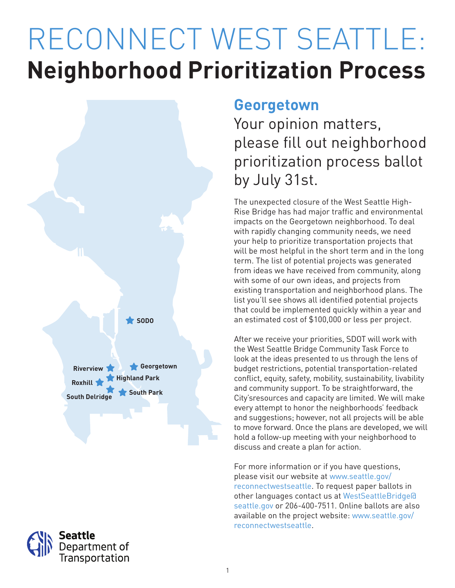# RECONNECT WEST SEATTLE: **Neighborhood Prioritization Process**





### **Georgetown**

Your opinion matters, please fill out neighborhood prioritization process ballot by July 31st.

The unexpected closure of the West Seattle High-Rise Bridge has had major traffic and environmental impacts on the Georgetown neighborhood. To deal with rapidly changing community needs, we need your help to prioritize transportation projects that will be most helpful in the short term and in the long term. The list of potential projects was generated from ideas we have received from community, along with some of our own ideas, and projects from existing transportation and neighborhood plans. The list you'll see shows all identified potential projects that could be implemented quickly within a year and an estimated cost of \$100,000 or less per project.

After we receive your priorities, SDOT will work with the West Seattle Bridge Community Task Force to look at the ideas presented to us through the lens of budget restrictions, potential transportation-related conflict, equity, safety, mobility, sustainability, livability and community support. To be straightforward, the City'sresources and capacity are limited. We will make every attempt to honor the neighborhoods' feedback and suggestions; however, not all projects will be able to move forward. Once the plans are developed, we will hold a follow-up meeting with your neighborhood to discuss and create a plan for action.

For more information or if you have questions, please visit our website at www.seattle.gov/ reconnectwestseattle. To request paper ballots in other languages contact us at WestSeattleBridge@ seattle.gov or 206-400-7511. Online ballots are also available on the project website: www.seattle.gov/ reconnectwestseattle.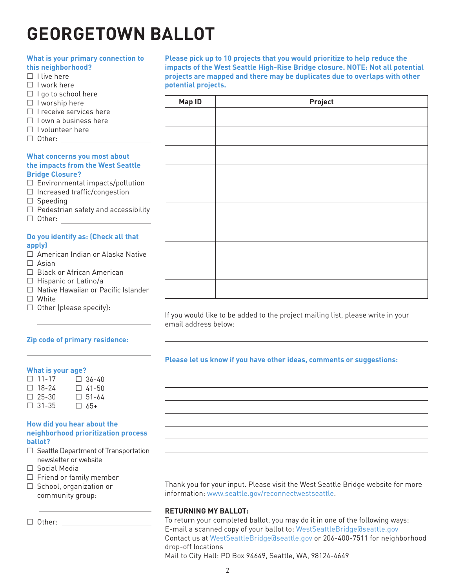## **GEORGETOWN BALLOT**

#### **What is your primary connection to this neighborhood?**  $\Box$  I live here  $\Box$  I work here  $\Box$  I go to school here  $\Box$  I worship here  $\Box$  I receive services here  $\Box$  I own a business here  $\Box$  I volunteer here □ Other: <u>\_\_\_\_\_</u> **What concerns you most about the impacts from the West Seattle Bridge Closure?**  $\square$  Environmental impacts/pollution  $\Box$  Increased traffic/congestion  $\square$  Speeding  $\Box$  Pedestrian safety and accessibility □ Other: <u>\_\_\_\_\_\_\_\_\_\_\_\_\_\_\_</u>

#### **Do you identify as: (Check all that apply)**

- □ American Indian or Alaska Native  $\Box$  Asian
- □ Black or African American
- $\Box$  Hispanic or Latino/a
- □ Native Hawaiian or Pacific Islander
- □ White
- $\Box$  Other (please specify):

#### **Zip code of primary residence:**

#### **What is your age?**

| $\Box$ 11-17 | $\Box$ 36-40 |
|--------------|--------------|
| $\Box$ 18-24 | $\Box$ 41-50 |
| $\Box$ 25-30 | $\Box$ 51-64 |
| $\Box$ 31-35 | $\Box$ 65+   |

#### **How did you hear about the neighborhood prioritization process ballot?**

- $\Box$  Seattle Department of Transportation newsletter or website
- Social Media
- $\Box$  Friend or family member
- $\Box$  School, organization or community group:

 $\Box$  Other:  $\_\_$ 

**Please pick up to 10 projects that you would prioritize to help reduce the impacts of the West Seattle High-Rise Bridge closure. NOTE: Not all potential projects are mapped and there may be duplicates due to overlaps with other potential projects.**

| Map ID | Project |
|--------|---------|
|        |         |
|        |         |
|        |         |
|        |         |
|        |         |
|        |         |
|        |         |
|        |         |
|        |         |
|        |         |
|        |         |

If you would like to be added to the project mailing list, please write in your email address below:

#### **Please let us know if you have other ideas, comments or suggestions:**

Thank you for your input. Please visit the West Seattle Bridge website for more information: www.seattle.gov/reconnectwestseattle.

#### **RETURNING MY BALLOT:**

To return your completed ballot, you may do it in one of the following ways: E-mail a scanned copy of your ballot to: WestSeattleBridge@seattle.gov Contact us at WestSeattleBridge@seattle.gov or 206-400-7511 for neighborhood drop-off locations

Mail to City Hall: PO Box 94649, Seattle, WA, 98124-4649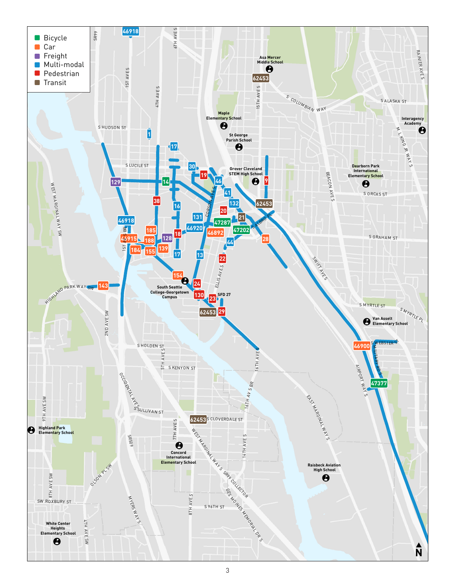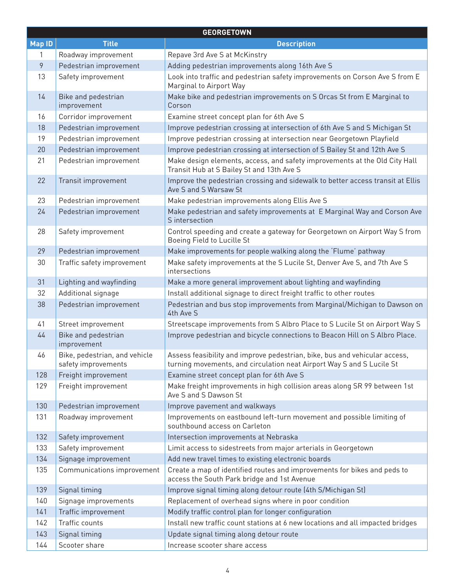| <b>GEORGETOWN</b> |                                                      |                                                                                                                                                     |  |  |
|-------------------|------------------------------------------------------|-----------------------------------------------------------------------------------------------------------------------------------------------------|--|--|
| <b>Map ID</b>     | <b>Title</b>                                         | <b>Description</b>                                                                                                                                  |  |  |
| 1                 | Roadway improvement                                  | Repave 3rd Ave S at McKinstry                                                                                                                       |  |  |
| 9                 | Pedestrian improvement                               | Adding pedestrian improvements along 16th Ave S                                                                                                     |  |  |
| 13                | Safety improvement                                   | Look into traffic and pedestrian safety improvements on Corson Ave S from E<br>Marginal to Airport Way                                              |  |  |
| 14                | Bike and pedestrian<br>improvement                   | Make bike and pedestrian improvements on S Orcas St from E Marginal to<br>Corson                                                                    |  |  |
| 16                | Corridor improvement                                 | Examine street concept plan for 6th Ave S                                                                                                           |  |  |
| 18                | Pedestrian improvement                               | Improve pedestrian crossing at intersection of 6th Ave S and S Michigan St                                                                          |  |  |
| 19                | Pedestrian improvement                               | Improve pedestrian crossing at intersection near Georgetown Playfield                                                                               |  |  |
| 20                | Pedestrian improvement                               | Improve pedestrian crossing at intersection of S Bailey St and 12th Ave S                                                                           |  |  |
| 21                | Pedestrian improvement                               | Make design elements, access, and safety improvements at the Old City Hall<br>Transit Hub at S Bailey St and 13th Ave S                             |  |  |
| 22                | Transit improvement                                  | Improve the pedestrian crossing and sidewalk to better access transit at Ellis<br>Ave S and S Warsaw St                                             |  |  |
| 23                | Pedestrian improvement                               | Make pedestrian improvements along Ellis Ave S                                                                                                      |  |  |
| 24                | Pedestrian improvement                               | Make pedestrian and safety improvements at E Marginal Way and Corson Ave<br>S intersection                                                          |  |  |
| 28                | Safety improvement                                   | Control speeding and create a gateway for Georgetown on Airport Way S from<br>Boeing Field to Lucille St                                            |  |  |
| 29                | Pedestrian improvement                               | Make improvements for people walking along the 'Flume' pathway                                                                                      |  |  |
| 30                | Traffic safety improvement                           | Make safety improvements at the S Lucile St, Denver Ave S, and 7th Ave S<br>intersections                                                           |  |  |
| 31                | Lighting and wayfinding                              | Make a more general improvement about lighting and wayfinding                                                                                       |  |  |
| 32                | Additional signage                                   | Install additional signage to direct freight traffic to other routes                                                                                |  |  |
| 38                | Pedestrian improvement                               | Pedestrian and bus stop improvements from Marginal/Michigan to Dawson on<br>4th Ave S                                                               |  |  |
| 41                | Street improvement                                   | Streetscape improvements from S Albro Place to S Lucile St on Airport Way S                                                                         |  |  |
| 44                | Bike and pedestrian<br>improvement                   | Improve pedestrian and bicycle connections to Beacon Hill on S Albro Place.                                                                         |  |  |
| 46                | Bike, pedestrian, and vehicle<br>safety improvements | Assess feasibility and improve pedestrian, bike, bus and vehicular access,<br>turning movements, and circulation neat Airport Way S and S Lucile St |  |  |
| 128               | Freight improvement                                  | Examine street concept plan for 6th Ave S                                                                                                           |  |  |
| 129               | Freight improvement                                  | Make freight improvements in high collision areas along SR 99 between 1st<br>Ave S and S Dawson St                                                  |  |  |
| 130               | Pedestrian improvement                               | Improve pavement and walkways                                                                                                                       |  |  |
| 131               | Roadway improvement                                  | Improvements on eastbound left-turn movement and possible limiting of<br>southbound access on Carleton                                              |  |  |
| 132               | Safety improvement                                   | Intersection improvements at Nebraska                                                                                                               |  |  |
| 133               | Safety improvement                                   | Limit access to sidestreets from major arterials in Georgetown                                                                                      |  |  |
| 134               | Signage improvement                                  | Add new travel times to existing electronic boards                                                                                                  |  |  |
| 135               | Communications improvement                           | Create a map of identified routes and improvements for bikes and peds to<br>access the South Park bridge and 1st Avenue                             |  |  |
| 139               | Signal timing                                        | Improve signal timing along detour route (4th S/Michigan St)                                                                                        |  |  |
| 140               | Signage improvements                                 | Replacement of overhead signs where in poor condition                                                                                               |  |  |
| 141               | Traffic improvement                                  | Modify traffic control plan for longer configuration                                                                                                |  |  |
| 142               | Traffic counts                                       | Install new traffic count stations at 6 new locations and all impacted bridges                                                                      |  |  |
| 143               | Signal timing                                        | Update signal timing along detour route                                                                                                             |  |  |
| 144               | Scooter share                                        | Increase scooter share access                                                                                                                       |  |  |